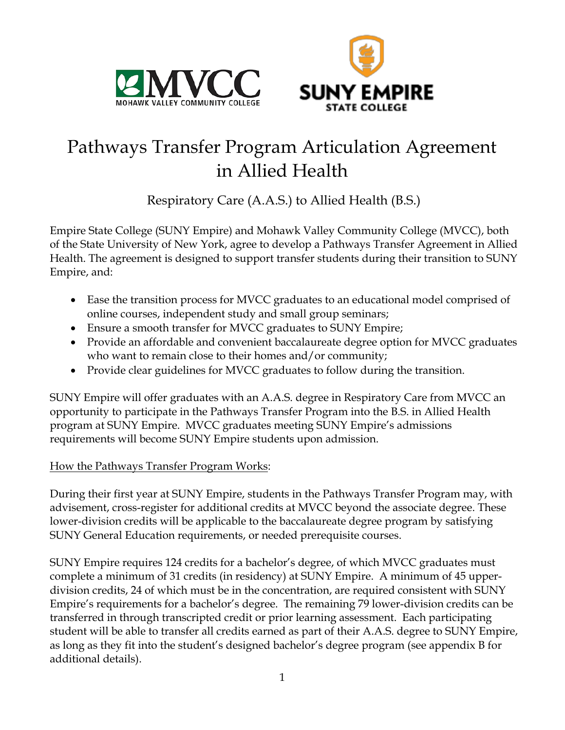



# Pathways Transfer Program Articulation Agreement in Allied Health

Respiratory Care (A.A.S.) to Allied Health (B.S.)

Empire State College (SUNY Empire) and Mohawk Valley Community College (MVCC), both of the State University of New York, agree to develop a Pathways Transfer Agreement in Allied Health. The agreement is designed to support transfer students during their transition to SUNY Empire, and:

- Ease the transition process for MVCC graduates to an educational model comprised of online courses, independent study and small group seminars;
- Ensure a smooth transfer for MVCC graduates to SUNY Empire;
- Provide an affordable and convenient baccalaureate degree option for MVCC graduates who want to remain close to their homes and/or community;
- Provide clear guidelines for MVCC graduates to follow during the transition.

SUNY Empire will offer graduates with an A.A.S. degree in Respiratory Care from MVCC an opportunity to participate in the Pathways Transfer Program into the B.S. in Allied Health program at SUNY Empire. MVCC graduates meeting SUNY Empire's admissions requirements will become SUNY Empire students upon admission.

# How the Pathways Transfer Program Works:

During their first year at SUNY Empire, students in the Pathways Transfer Program may, with advisement, cross-register for additional credits at MVCC beyond the associate degree. These lower-division credits will be applicable to the baccalaureate degree program by satisfying SUNY General Education requirements, or needed prerequisite courses.

SUNY Empire requires 124 credits for a bachelor's degree, of which MVCC graduates must complete a minimum of 31 credits (in residency) at SUNY Empire. A minimum of 45 upperdivision credits, 24 of which must be in the concentration, are required consistent with SUNY Empire's requirements for a bachelor's degree. The remaining 79 lower-division credits can be transferred in through transcripted credit or prior learning assessment. Each participating student will be able to transfer all credits earned as part of their A.A.S. degree to SUNY Empire, as long as they fit into the student's designed bachelor's degree program (see appendix B for additional details).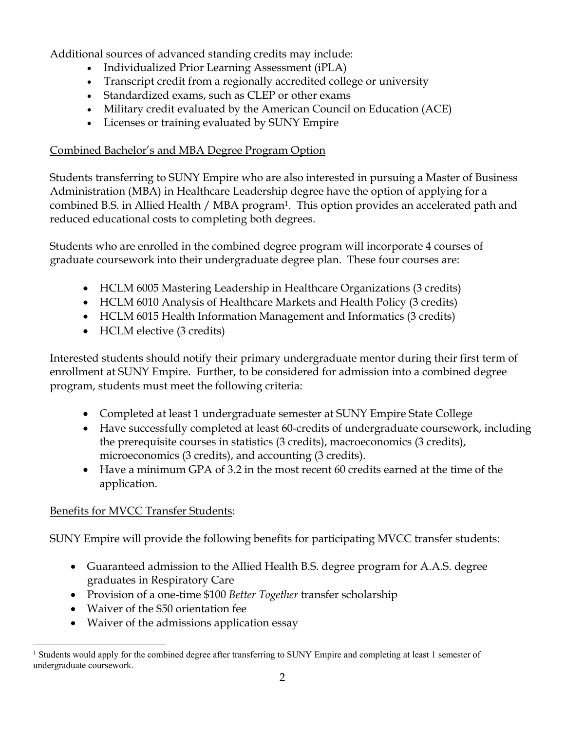Additional sources of advanced standing credits may include:

- Individualized Prior Learning Assessment (iPLA)
- Transcript credit from a regionally accredited college or university
- Standardized exams, such as CLEP or other exams
- Military credit evaluated by the American Council on Education (ACE)
- Licenses or training evaluated by SUNY Empire

# Combined Bachelor's and MBA Degree Program Option

Students transferring to SUNY Empire who are also interested in pursuing a Master of Business Administration (MBA) in Healthcare Leadership degree have the option of applying for a combined B.S. in Allied Health / MBA program<sup>1</sup>. This option provides an accelerated path and reduced educational costs to completing both degrees.

Students who are enrolled in the combined degree program will incorporate 4 courses of graduate coursework into their undergraduate degree plan. These four courses are:

- HCLM 6005 Mastering Leadership in Healthcare Organizations (3 credits)
- HCLM 6010 Analysis of Healthcare Markets and Health Policy (3 credits)
- HCLM 6015 Health Information Management and Informatics (3 credits)
- HCLM elective (3 credits)

Interested students should notify their primary undergraduate mentor during their first term of enrollment at SUNY Empire. Further, to be considered for admission into a combined degree program, students must meet the following criteria:

- Completed at least 1 undergraduate semester at SUNY Empire State College
- Have successfully completed at least 60-credits of undergraduate coursework, including the prerequisite courses in statistics (3 credits), macroeconomics (3 credits), microeconomics (3 credits), and accounting (3 credits).
- Have a minimum GPA of 3.2 in the most recent 60 credits earned at the time of the application.

# Benefits for MVCC Transfer Students:

SUNY Empire will provide the following benefits for participating MVCC transfer students:

- Guaranteed admission to the Allied Health B.S. degree program for A.A.S. degree graduates in Respiratory Care
- Provision of a one-time \$100 *Better Together* transfer scholarship
- Waiver of the \$50 orientation fee
- Waiver of the admissions application essay

<sup>&</sup>lt;sup>1</sup> Students would apply for the combined degree after transferring to SUNY Empire and completing at least 1 semester of undergraduate coursework.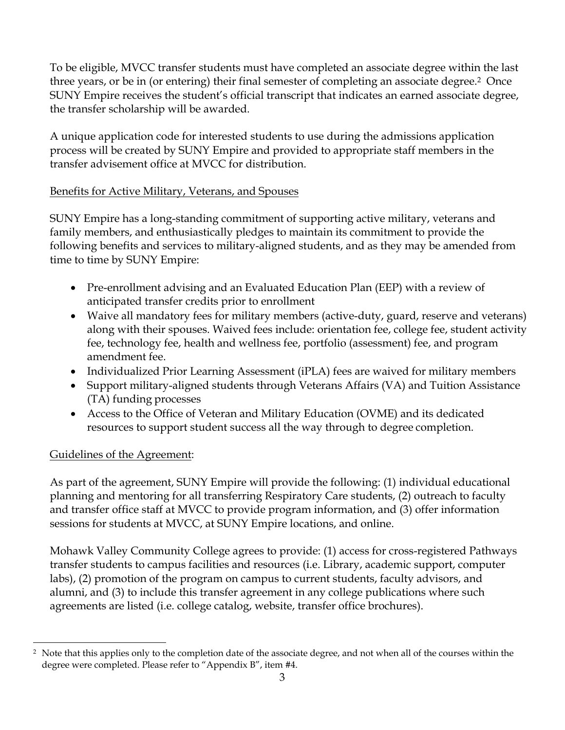To be eligible, MVCC transfer students must have completed an associate degree within the last three years, or be in (or entering) their final semester of completing an associate degree.2 Once SUNY Empire receives the student's official transcript that indicates an earned associate degree, the transfer scholarship will be awarded.

A unique application code for interested students to use during the admissions application process will be created by SUNY Empire and provided to appropriate staff members in the transfer advisement office at MVCC for distribution.

## Benefits for Active Military, Veterans, and Spouses

SUNY Empire has a long-standing commitment of supporting active military, veterans and family members, and enthusiastically pledges to maintain its commitment to provide the following benefits and services to military-aligned students, and as they may be amended from time to time by SUNY Empire:

- Pre-enrollment advising and an Evaluated Education Plan (EEP) with a review of anticipated transfer credits prior to enrollment
- Waive all mandatory fees for military members (active-duty, guard, reserve and veterans) along with their spouses. Waived fees include: orientation fee, college fee, student activity fee, technology fee, health and wellness fee, portfolio (assessment) fee, and program amendment fee.
- Individualized Prior Learning Assessment (iPLA) fees are waived for military members
- Support military-aligned students through Veterans Affairs (VA) and Tuition Assistance (TA) funding processes
- Access to the Office of Veteran and Military Education (OVME) and its dedicated resources to support student success all the way through to degree completion.

# Guidelines of the Agreement:

As part of the agreement, SUNY Empire will provide the following: (1) individual educational planning and mentoring for all transferring Respiratory Care students, (2) outreach to faculty and transfer office staff at MVCC to provide program information, and (3) offer information sessions for students at MVCC, at SUNY Empire locations, and online.

Mohawk Valley Community College agrees to provide: (1) access for cross-registered Pathways transfer students to campus facilities and resources (i.e. Library, academic support, computer labs), (2) promotion of the program on campus to current students, faculty advisors, and alumni, and (3) to include this transfer agreement in any college publications where such agreements are listed (i.e. college catalog, website, transfer office brochures).

 $\overline{a}$ <sup>2</sup> Note that this applies only to the completion date of the associate degree, and not when all of the courses within the degree were completed. Please refer to "Appendix B", item #4.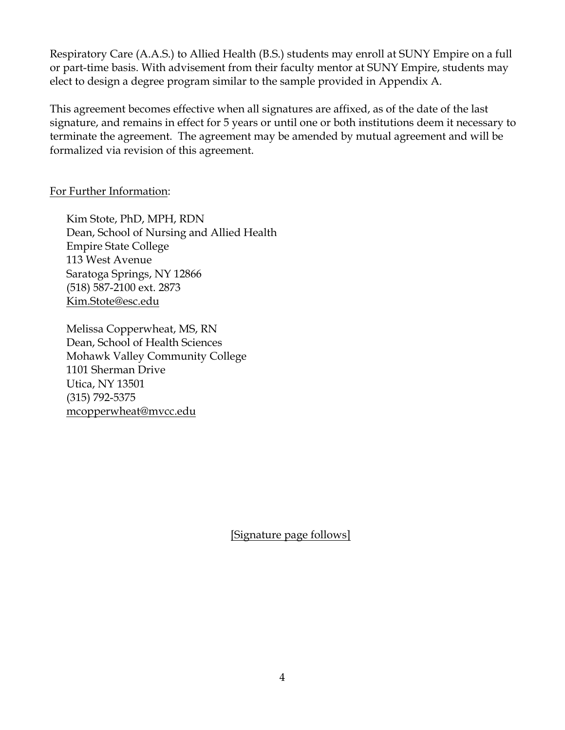Respiratory Care (A.A.S.) to Allied Health (B.S.) students may enroll at SUNY Empire on a full or part-time basis. With advisement from their faculty mentor at SUNY Empire, students may elect to design a degree program similar to the sample provided in Appendix A.

This agreement becomes effective when all signatures are affixed, as of the date of the last signature, and remains in effect for 5 years or until one or both institutions deem it necessary to terminate the agreement. The agreement may be amended by mutual agreement and will be formalized via revision of this agreement.

#### For Further Information:

Kim Stote, PhD, MPH, RDN Dean, School of Nursing and Allied Health Empire State College 113 West Avenue Saratoga Springs, NY 12866 (518) 587-2100 ext. 2873 Kim.Stote@esc.edu

Melissa Copperwheat, MS, RN Dean, School of Health Sciences Mohawk Valley Community College 1101 Sherman Drive Utica, NY 13501 (315) 792-5375 mcopperwheat@mvcc.edu

[Signature page follows]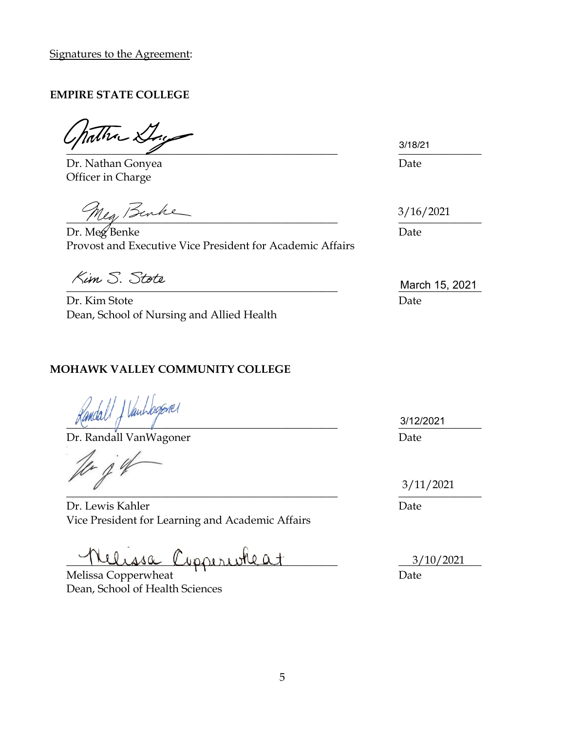Signatures to the Agreement:

#### **EMPIRE STATE COLLEGE**

The Day  $\frac{3/10/21}{2}$ 

Dr. Nathan Gonyea **Date** Officer in Charge

Meg, Benke

Dr. Meg Benke Date Provost and Executive Vice President for Academic Affairs

Dr. Kim Stote Date Dean, School of Nursing and Allied Health

## **MOHAWK VALLEY COMMUNITY COLLEGE**

 $\frac{3}{1222021}$ 

Dr. Randall VanWagoner Date

 $\overline{A}$  $\overline{\phantom{a}}$ 

Dr. Lewis Kahler Date Vice President for Learning and Academic Affairs

Lelissa Copperioteat

Melissa Copperwheat  $\overline{\phantom{a}}$  Date Dean, School of Health Sciences

3/18/21

3/16/2021

 $\frac{1}{2}$  March 15, 2021

3/12/2021

3/11/2021

3/10/2021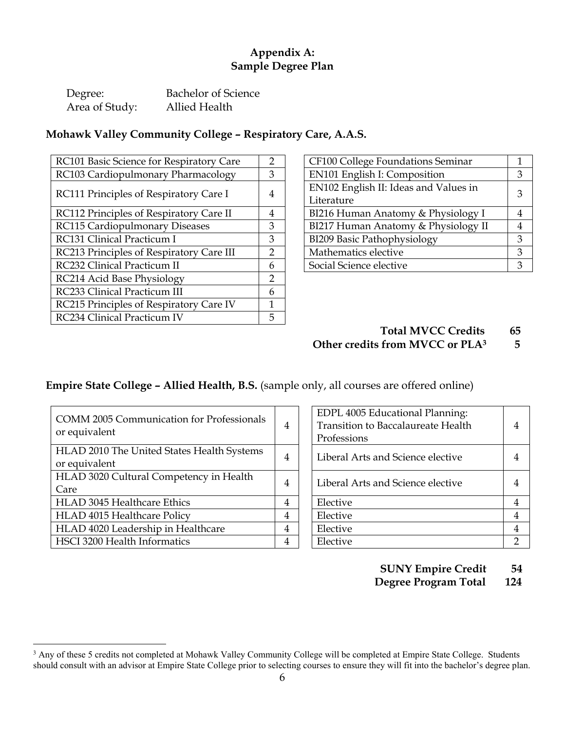## **Appendix A: Sample Degree Plan**

| Degree:        | Bachelor of Science |
|----------------|---------------------|
| Area of Study: | Allied Health       |

#### **Mohawk Valley Community College – Respiratory Care, A.A.S.**

| RC101 Basic Science for Respiratory Care | $\overline{2}$ | CF100 College Foundations Seminar     |   |
|------------------------------------------|----------------|---------------------------------------|---|
| RC103 Cardiopulmonary Pharmacology       | 3              | EN101 English I: Composition          | 3 |
| RC111 Principles of Respiratory Care I   | 4              | EN102 English II: Ideas and Values in | 3 |
|                                          |                | Literature                            |   |
| RC112 Principles of Respiratory Care II  | 4              | BI216 Human Anatomy & Physiology I    | 4 |
| RC115 Cardiopulmonary Diseases           | 3              | BI217 Human Anatomy & Physiology II   | 4 |
| RC131 Clinical Practicum I               | 3              | BI209 Basic Pathophysiology           | 3 |
| RC213 Principles of Respiratory Care III | $\overline{2}$ | Mathematics elective                  | 3 |
| RC232 Clinical Practicum II              | 6              | Social Science elective               | 3 |
| RC214 Acid Base Physiology               | 2              |                                       |   |
| RC233 Clinical Practicum III             | 6              |                                       |   |
| RC215 Principles of Respiratory Care IV  | 1              |                                       |   |
| RC234 Clinical Practicum IV              | 5              |                                       |   |

| CF100 College Foundations Seminar     |   |
|---------------------------------------|---|
| EN101 English I: Composition          |   |
| EN102 English II: Ideas and Values in | 3 |
| Literature                            |   |
| BI216 Human Anatomy & Physiology I    |   |
| BI217 Human Anatomy & Physiology II   |   |
| <b>BI209 Basic Pathophysiology</b>    | κ |
| Mathematics elective                  |   |
| Social Science elective               | र |

#### **Total MVCC Credits 65 Other credits from MVCC or PLA3 5**

## **Empire State College – Allied Health, B.S.** (sample only, all courses are offered online)

| <b>COMM 2005 Communication for Professionals</b><br>or equivalent | 4              | EDPL 4005 Educational Planning:<br><b>Transition to Baccalaureate Health</b><br>Professions | 4              |
|-------------------------------------------------------------------|----------------|---------------------------------------------------------------------------------------------|----------------|
| HLAD 2010 The United States Health Systems                        | 4              | Liberal Arts and Science elective                                                           | 4              |
| or equivalent                                                     |                |                                                                                             |                |
| HLAD 3020 Cultural Competency in Health                           | $\overline{4}$ | Liberal Arts and Science elective                                                           | $\overline{4}$ |
| Care                                                              |                |                                                                                             |                |
| <b>HLAD 3045 Healthcare Ethics</b>                                | 4              | Elective                                                                                    | 4              |
| HLAD 4015 Healthcare Policy                                       | 4              | Elective                                                                                    | 4              |
| HLAD 4020 Leadership in Healthcare                                | 4              | Elective                                                                                    | 4              |
| HSCI 3200 Health Informatics                                      | 4              | Elective                                                                                    |                |

| EDPL 4005 Educational Planning:<br><b>Transition to Baccalaureate Health</b><br>Professions | 4 |
|---------------------------------------------------------------------------------------------|---|
| Liberal Arts and Science elective                                                           |   |
| Liberal Arts and Science elective                                                           |   |
| Elective                                                                                    | 4 |
| Elective                                                                                    | 4 |
| Elective                                                                                    | 4 |
| Elective                                                                                    |   |

**SUNY Empire Credit 54**

 **Degree Program Total 124**

<sup>&</sup>lt;sup>3</sup> Any of these 5 credits not completed at Mohawk Valley Community College will be completed at Empire State College. Students should consult with an advisor at Empire State College prior to selecting courses to ensure they will fit into the bachelor's degree plan.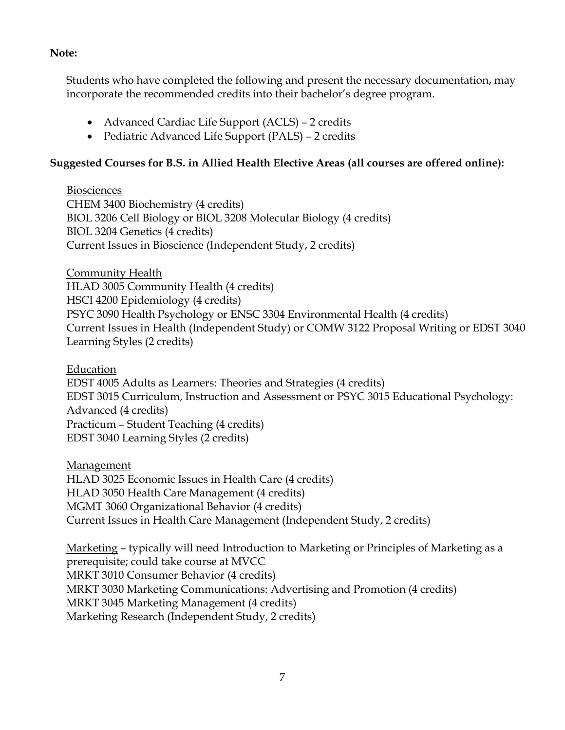#### **Note:**

Students who have completed the following and present the necessary documentation, may incorporate the recommended credits into their bachelor's degree program.

- Advanced Cardiac Life Support (ACLS) 2 credits
- Pediatric Advanced Life Support (PALS) 2 credits

## **Suggested Courses for B.S. in Allied Health Elective Areas (all courses are offered online):**

**Biosciences** CHEM 3400 Biochemistry (4 credits) BIOL 3206 Cell Biology or BIOL 3208 Molecular Biology (4 credits) BIOL 3204 Genetics (4 credits) Current Issues in Bioscience (Independent Study, 2 credits)

Community Health HLAD 3005 Community Health (4 credits) HSCI 4200 Epidemiology (4 credits) PSYC 3090 Health Psychology or ENSC 3304 Environmental Health (4 credits) Current Issues in Health (Independent Study) or COMW 3122 Proposal Writing or EDST 3040 Learning Styles (2 credits)

Education

EDST 4005 Adults as Learners: Theories and Strategies (4 credits) EDST 3015 Curriculum, Instruction and Assessment or PSYC 3015 Educational Psychology: Advanced (4 credits) Practicum – Student Teaching (4 credits) EDST 3040 Learning Styles (2 credits)

**Management** HLAD 3025 Economic Issues in Health Care (4 credits) HLAD 3050 Health Care Management (4 credits) MGMT 3060 Organizational Behavior (4 credits) Current Issues in Health Care Management (Independent Study, 2 credits)

Marketing – typically will need Introduction to Marketing or Principles of Marketing as a prerequisite; could take course at MVCC MRKT 3010 Consumer Behavior (4 credits) MRKT 3030 Marketing Communications: Advertising and Promotion (4 credits) MRKT 3045 Marketing Management (4 credits) Marketing Research (Independent Study, 2 credits)